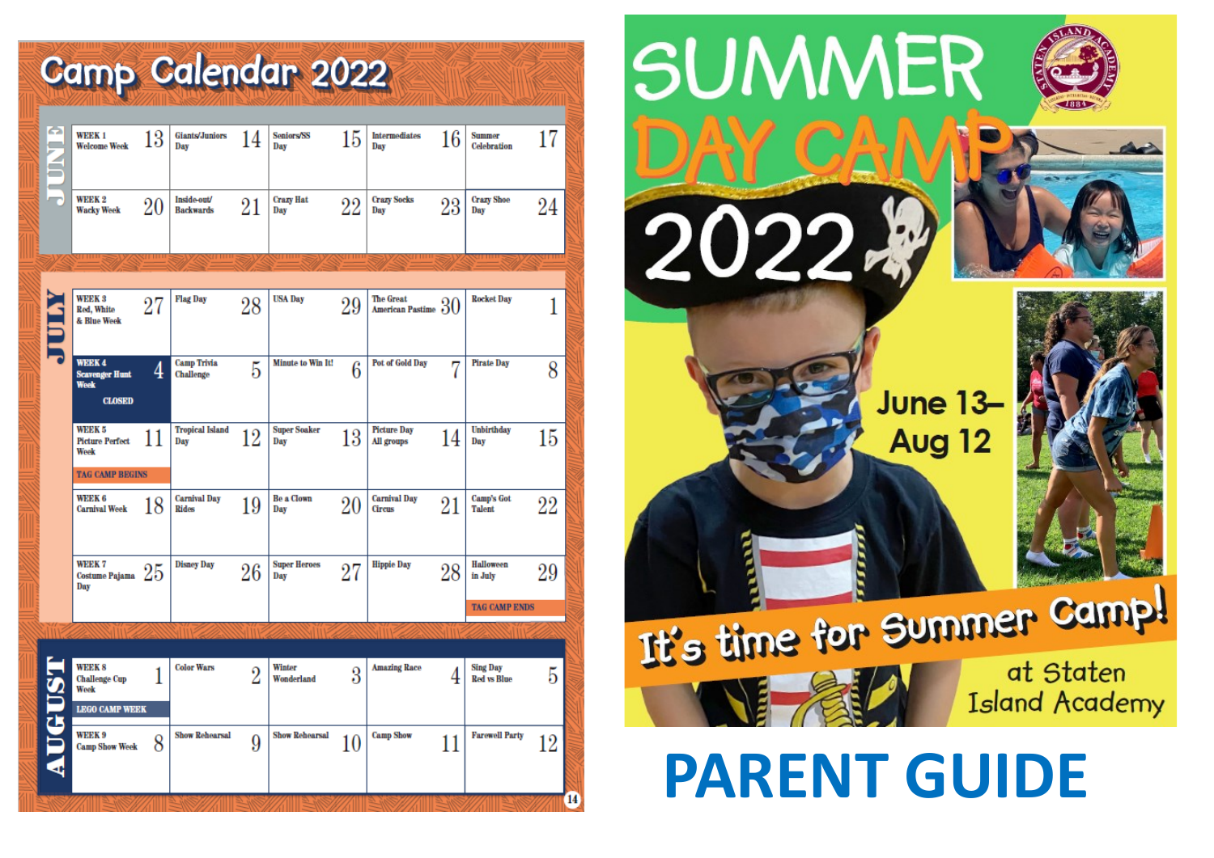# Camp Calendar 2022

| <b>SUNDER</b> | <b>WEEK1</b><br><b>Welcome Week</b>                                              | 13 | <b>Giants/Juniors</b><br>Day        | 14             | <b>Seniors/SS</b><br>Day   | 15     | <b>Intermediates</b><br>Day             | 16     | <b>Summer</b><br><b>Celebration</b>   | 17 |
|---------------|----------------------------------------------------------------------------------|----|-------------------------------------|----------------|----------------------------|--------|-----------------------------------------|--------|---------------------------------------|----|
|               | <b>WEEK 2</b><br><b>Wacky Week</b>                                               | 20 | Inside-out/<br><b>Backwards</b>     | $21\,$         | <b>Crazy Hat</b><br>Day    | 22     | <b>Crazy Socks</b><br>Day               | $23\,$ | <b>Crazy Shoe</b><br>Day              | 24 |
|               |                                                                                  |    |                                     |                |                            |        |                                         |        |                                       |    |
|               |                                                                                  |    |                                     |                |                            |        |                                         |        |                                       |    |
|               | <b>WEEK 3</b><br>Red, White<br>& Blue Week                                       | 27 | <b>Flag Day</b>                     | 28             | <b>USA Day</b>             | 29     | <b>The Great</b><br>American Pastime 30 |        | <b>Rocket Day</b>                     | 1  |
|               | <b>WEEK4</b><br><b>Scavenger Hunt</b><br><b>Week</b><br><b>CLOSED</b>            | 4  | <b>Camp Trivia</b><br>Challenge     | 5              | Minute to Win It!          | 6      | Pot of Gold Day                         | 7      | <b>Pirate Day</b>                     | 8  |
|               | <b>WEEK 5</b><br><b>Picture Perfect</b><br><b>Week</b><br><b>TAG CAMP BEGINS</b> | 11 | <b>Tropical Island</b><br>Day       | 12             | <b>Super Soaker</b><br>Day | 13     | <b>Picture Day</b><br>All groups        | 14     | <b>Unbirthday</b><br>Day              | 15 |
|               | <b>WEEK 6</b><br><b>Carnival Week</b>                                            | 18 | <b>Carnival Day</b><br><b>Rides</b> | 19             | <b>Be a Clown</b><br>Day   | $20\,$ | <b>Carnival Day</b><br>Circus           | 21     | <b>Camp's Got</b><br><b>Talent</b>    | 22 |
|               | WEEK 7<br>$\frac{WEDR}{\text{Costume} \; \text{Pajama}} \; 25$<br>Day            |    | <b>Disney Day</b>                   | 26             | <b>Super Heroes</b><br>Day | 27     | <b>Hippie Day</b>                       | 28     | <b>Halloween</b><br>in July           | 29 |
|               |                                                                                  |    |                                     |                |                            |        |                                         |        | <b>TAG CAMP ENDS</b>                  |    |
|               |                                                                                  |    |                                     |                |                            |        |                                         |        |                                       |    |
|               |                                                                                  |    |                                     |                |                            |        |                                         |        |                                       |    |
|               | <b>WEEK 8</b><br><b>Challenge Cup</b><br>Week                                    |    | <b>Color Wars</b>                   | $\overline{2}$ | Winter<br>Wonderland       | 3      | <b>Amazing Race</b>                     | 4      | <b>Sing Day</b><br><b>Red vs Blue</b> | 5  |
|               | <b>LEGO CAMP WEEK</b>                                                            |    |                                     |                |                            |        |                                         |        |                                       |    |
| <b>AUGUST</b> | <b>WEEK 9</b><br><b>Camp Show Week</b>                                           | 8  | <b>Show Rehearsal</b>               | 9              | <b>Show Rehearsal</b>      | 10     | <b>Camp Show</b>                        | 11     | <b>Farewell Party</b>                 | 12 |
|               |                                                                                  |    |                                     |                |                            |        |                                         |        |                                       | 14 |



# **PARENT GUIDE**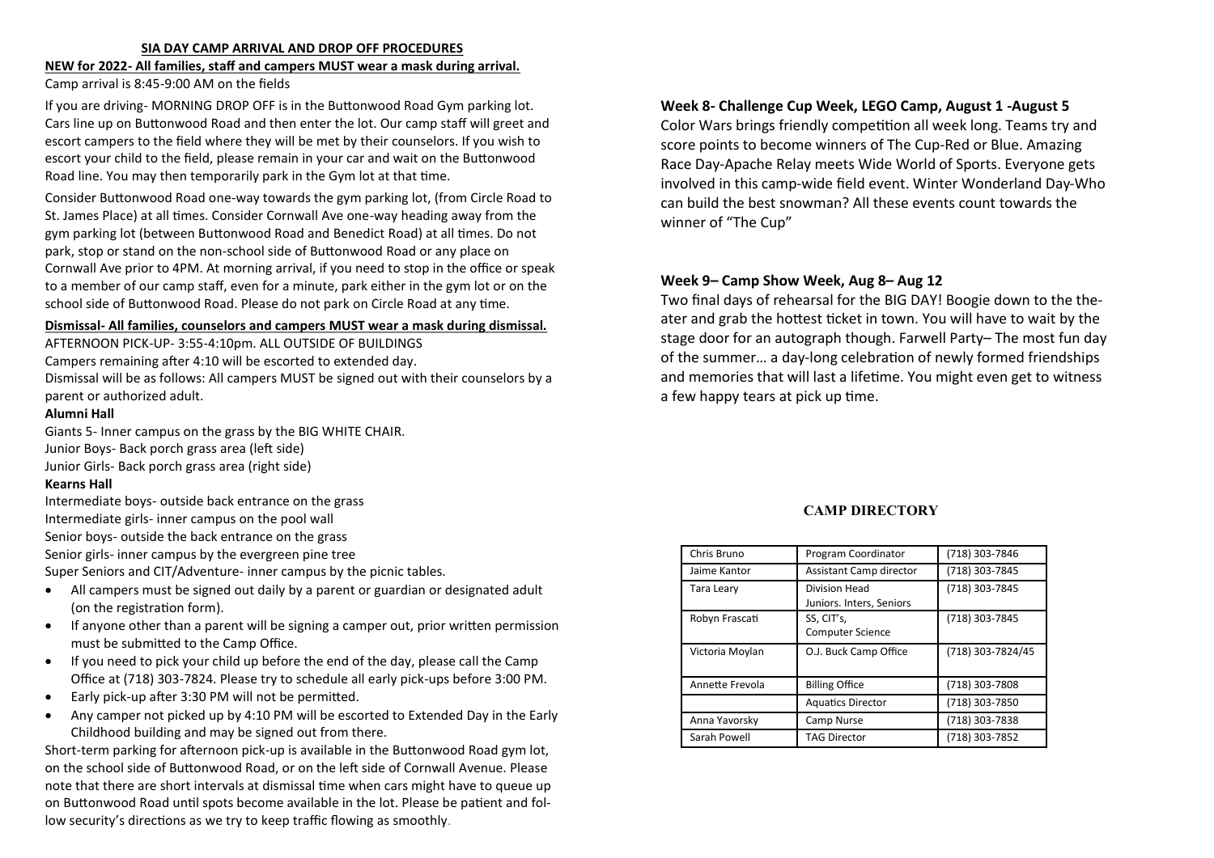#### **SIA DAY CAMP ARRIVAL AND DROP OFF PROCEDURES**

#### **NEW for 2022- All families, staff and campers MUST wear a mask during arrival.** Camp arrival is 8:45-9:00 AM on the fields

If you are driving- MORNING DROP OFF is in the Buttonwood Road Gym parking lot. Cars line up on Buttonwood Road and then enter the lot. Our camp staff will greet and escort campers to the field where they will be met by their counselors. If you wish to escort your child to the field, please remain in your car and wait on the Buttonwood Road line. You may then temporarily park in the Gym lot at that time.

Consider Buttonwood Road one-way towards the gym parking lot, (from Circle Road to St. James Place) at all times. Consider Cornwall Ave one-way heading away from the gym parking lot (between Buttonwood Road and Benedict Road) at all times. Do not park, stop or stand on the non-school side of Buttonwood Road or any place on Cornwall Ave prior to 4PM. At morning arrival, if you need to stop in the office or speak to a member of our camp staff, even for a minute, park either in the gym lot or on the school side of Buttonwood Road. Please do not park on Circle Road at any time.

#### **Dismissal- All families, counselors and campers MUST wear a mask during dismissal.**

AFTERNOON PICK-UP- 3:55-4:10pm. ALL OUTSIDE OF BUILDINGS

Campers remaining after 4:10 will be escorted to extended day.

Dismissal will be as follows: All campers MUST be signed out with their counselors by a parent or authorized adult.

#### **Alumni Hall**

Giants 5- Inner campus on the grass by the BIG WHITE CHAIR. Junior Boys- Back porch grass area (left side) Junior Girls- Back porch grass area (right side)

#### **Kearns Hall**

Intermediate boys- outside back entrance on the grass Intermediate girls- inner campus on the pool wall Senior boys- outside the back entrance on the grass Senior girls- inner campus by the evergreen pine tree Super Seniors and CIT/Adventure- inner campus by the picnic tables.

- All campers must be signed out daily by a parent or guardian or designated adult (on the registration form).
- If anyone other than a parent will be signing a camper out, prior written permission must be submitted to the Camp Office.
- If you need to pick your child up before the end of the day, please call the Camp Office at (718) 303-7824. Please try to schedule all early pick-ups before 3:00 PM.
- Early pick-up after 3:30 PM will not be permitted.
- Any camper not picked up by 4:10 PM will be escorted to Extended Day in the Early Childhood building and may be signed out from there.

Short-term parking for afternoon pick-up is available in the Buttonwood Road gym lot, on the school side of Buttonwood Road, or on the left side of Cornwall Avenue. Please note that there are short intervals at dismissal time when cars might have to queue up on Buttonwood Road until spots become available in the lot. Please be patient and follow security's directions as we try to keep traffic flowing as smoothly.

#### **Week 8- Challenge Cup Week, LEGO Camp, August 1 -August 5**

Color Wars brings friendly competition all week long. Teams try and score points to become winners of The Cup-Red or Blue. Amazing Race Day-Apache Relay meets Wide World of Sports. Everyone gets involved in this camp-wide field event. Winter Wonderland Day-Who can build the best snowman? All these events count towards the winner of "The Cup"

#### **Week 9– Camp Show Week, Aug 8– Aug 12**

Two final days of rehearsal for the BIG DAY! Boogie down to the theater and grab the hottest ticket in town. You will have to wait by the stage door for an autograph though. Farwell Party– The most fun day of the summer… a day-long celebration of newly formed friendships and memories that will last a lifetime. You might even get to witness a few happy tears at pick up time.

#### **CAMP DIRECTORY**

| Chris Bruno     | Program Coordinator                              | (718) 303-7846    |  |
|-----------------|--------------------------------------------------|-------------------|--|
| Jaime Kantor    | Assistant Camp director                          | (718) 303-7845    |  |
| Tara Leary      | <b>Division Head</b><br>Juniors. Inters, Seniors | (718) 303-7845    |  |
| Robyn Frascati  | SS, CIT's,<br><b>Computer Science</b>            | (718) 303-7845    |  |
|                 |                                                  |                   |  |
| Victoria Moylan | O.J. Buck Camp Office                            | (718) 303-7824/45 |  |
| Annette Frevola | <b>Billing Office</b>                            | (718) 303-7808    |  |
|                 | <b>Aquatics Director</b>                         | (718) 303-7850    |  |
| Anna Yavorsky   | Camp Nurse                                       | (718) 303-7838    |  |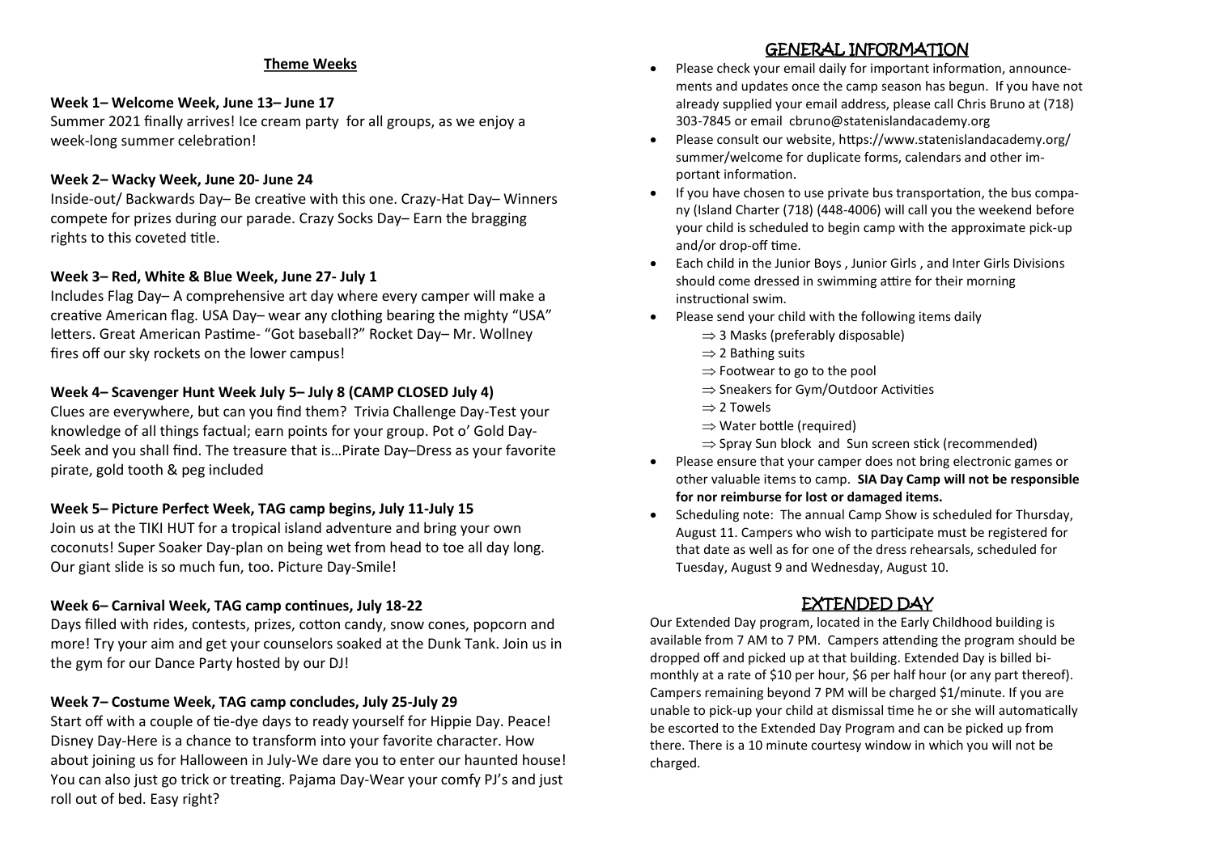#### **Theme Weeks**

# **Week 1– Welcome Week, June 13– June 17**

Summer 2021 finally arrives! Ice cream party for all groups, as we enjoy a week-long summer celebration!

# **Week 2– Wacky Week, June 20- June 24**

Inside-out/ Backwards Day– Be creative with this one. Crazy-Hat Day– Winners compete for prizes during our parade. Crazy Socks Day– Earn the bragging rights to this coveted title.

# **Week 3– Red, White & Blue Week, June 27- July 1**

Includes Flag Day– A comprehensive art day where every camper will make a creative American flag. USA Day– wear any clothing bearing the mighty "USA" letters. Great American Pastime- "Got baseball?" Rocket Day– Mr. Wollney fires off our sky rockets on the lower campus!

# **Week 4– Scavenger Hunt Week July 5– July 8 (CAMP CLOSED July 4)**

Clues are everywhere, but can you find them? Trivia Challenge Day-Test your knowledge of all things factual; earn points for your group. Pot o' Gold Day-Seek and you shall find. The treasure that is…Pirate Day–Dress as your favorite pirate, gold tooth & peg included

# **Week 5– Picture Perfect Week, TAG camp begins, July 11-July 15**

Join us at the TIKI HUT for a tropical island adventure and bring your own coconuts! Super Soaker Day-plan on being wet from head to toe all day long. Our giant slide is so much fun, too. Picture Day-Smile!

# **Week 6– Carnival Week, TAG camp continues, July 18-22**

Days filled with rides, contests, prizes, cotton candy, snow cones, popcorn and more! Try your aim and get your counselors soaked at the Dunk Tank. Join us in the gym for our Dance Party hosted by our DJ!

# **Week 7– Costume Week, TAG camp concludes, July 25-July 29**

Start off with a couple of tie-dye days to ready yourself for Hippie Day. Peace! Disney Day-Here is a chance to transform into your favorite character. How about joining us for Halloween in July-We dare you to enter our haunted house! You can also just go trick or treating. Pajama Day-Wear your comfy PJ's and just roll out of bed. Easy right?

# GENERAL INFORMATION

- Please check your email daily for important information, announcements and updates once the camp season has begun. If you have not already supplied your email address, please call Chris Bruno at (718) 303-7845 or email cbruno@statenislandacademy.org
- Please consult our website, https://www.statenislandacademy.org/ summer/welcome for duplicate forms, calendars and other important information.
- If you have chosen to use private bus transportation, the bus company (Island Charter (718) (448-4006) will call you the weekend before your child is scheduled to begin camp with the approximate pick-up and/or drop-off time.
- Each child in the Junior Boys , Junior Girls , and Inter Girls Divisions should come dressed in swimming attire for their morning instructional swim.
- Please send your child with the following items daily
	- $\Rightarrow$  3 Masks (preferably disposable)
	- $\Rightarrow$  2 Bathing suits
	- $\Rightarrow$  Footwear to go to the pool
	- $\Rightarrow$  Sneakers for Gym/Outdoor Activities
	- $\Rightarrow$  2 Towels
	- $\Rightarrow$  Water bottle (required)
	- $\Rightarrow$  Spray Sun block and Sun screen stick (recommended)
- Please ensure that your camper does not bring electronic games or other valuable items to camp. **SIA Day Camp will not be responsible for nor reimburse for lost or damaged items.**
- Scheduling note: The annual Camp Show is scheduled for Thursday, August 11. Campers who wish to participate must be registered for that date as well as for one of the dress rehearsals, scheduled for Tuesday, August 9 and Wednesday, August 10.

# EXTENDED DAY

Our Extended Day program, located in the Early Childhood building is available from 7 AM to 7 PM. Campers attending the program should be dropped off and picked up at that building. Extended Day is billed bimonthly at a rate of \$10 per hour, \$6 per half hour (or any part thereof). Campers remaining beyond 7 PM will be charged \$1/minute. If you are unable to pick-up your child at dismissal time he or she will automatically be escorted to the Extended Day Program and can be picked up from there. There is a 10 minute courtesy window in which you will not be charged.